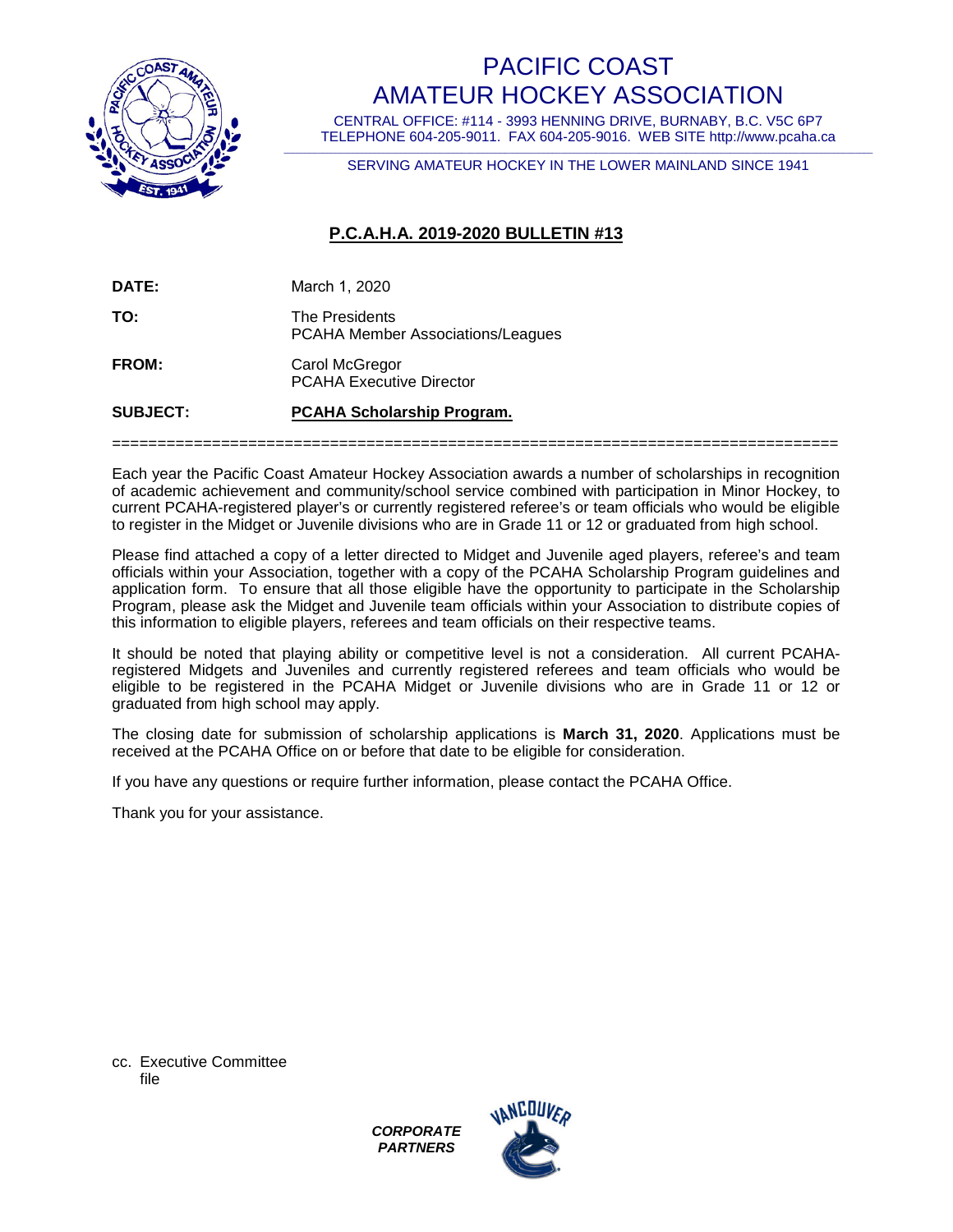

# PACIFIC COAST AMATEUR HOCKEY ASSOCIATION

CENTRAL OFFICE: #114 - 3993 HENNING DRIVE, BURNABY, B.C. V5C 6P7 TELEPHONE 604-205-9011. FAX 604-205-9016. WEB SITE http://www.pcaha.ca

\_\_\_\_\_\_\_\_\_\_\_\_\_\_\_\_\_\_\_\_\_\_\_\_\_\_\_\_\_\_\_\_\_\_\_\_\_\_\_\_\_\_\_\_\_\_\_\_\_\_\_\_\_\_\_\_\_\_\_\_\_\_\_\_\_\_\_\_\_\_\_\_\_\_\_\_\_\_\_\_\_\_\_\_\_\_\_\_\_\_\_\_\_\_\_\_\_\_\_\_\_\_\_\_\_\_\_\_\_\_\_\_\_\_\_\_\_\_\_\_\_\_\_\_\_\_\_\_\_\_\_\_\_\_\_\_ SERVING AMATEUR HOCKEY IN THE LOWER MAINLAND SINCE 1941

## **P.C.A.H.A. 2019-2020 BULLETIN #13**

| <b>SUBJECT:</b> | <b>PCAHA Scholarship Program.</b>                   |
|-----------------|-----------------------------------------------------|
| <b>FROM:</b>    | Carol McGregor<br><b>PCAHA Executive Director</b>   |
| TO:             | The Presidents<br>PCAHA Member Associations/Leagues |
| DATE:           | March 1, 2020                                       |

Each year the Pacific Coast Amateur Hockey Association awards a number of scholarships in recognition of academic achievement and community/school service combined with participation in Minor Hockey, to current PCAHA-registered player's or currently registered referee's or team officials who would be eligible to register in the Midget or Juvenile divisions who are in Grade 11 or 12 or graduated from high school.

================================================================================

Please find attached a copy of a letter directed to Midget and Juvenile aged players, referee's and team officials within your Association, together with a copy of the PCAHA Scholarship Program guidelines and application form. To ensure that all those eligible have the opportunity to participate in the Scholarship Program, please ask the Midget and Juvenile team officials within your Association to distribute copies of this information to eligible players, referees and team officials on their respective teams.

It should be noted that playing ability or competitive level is not a consideration. All current PCAHAregistered Midgets and Juveniles and currently registered referees and team officials who would be eligible to be registered in the PCAHA Midget or Juvenile divisions who are in Grade 11 or 12 or graduated from high school may apply.

The closing date for submission of scholarship applications is **March 31, 2020**. Applications must be received at the PCAHA Office on or before that date to be eligible for consideration.

If you have any questions or require further information, please contact the PCAHA Office.

Thank you for your assistance.

cc. Executive Committee file

> *CORPORATE PARTNERS*

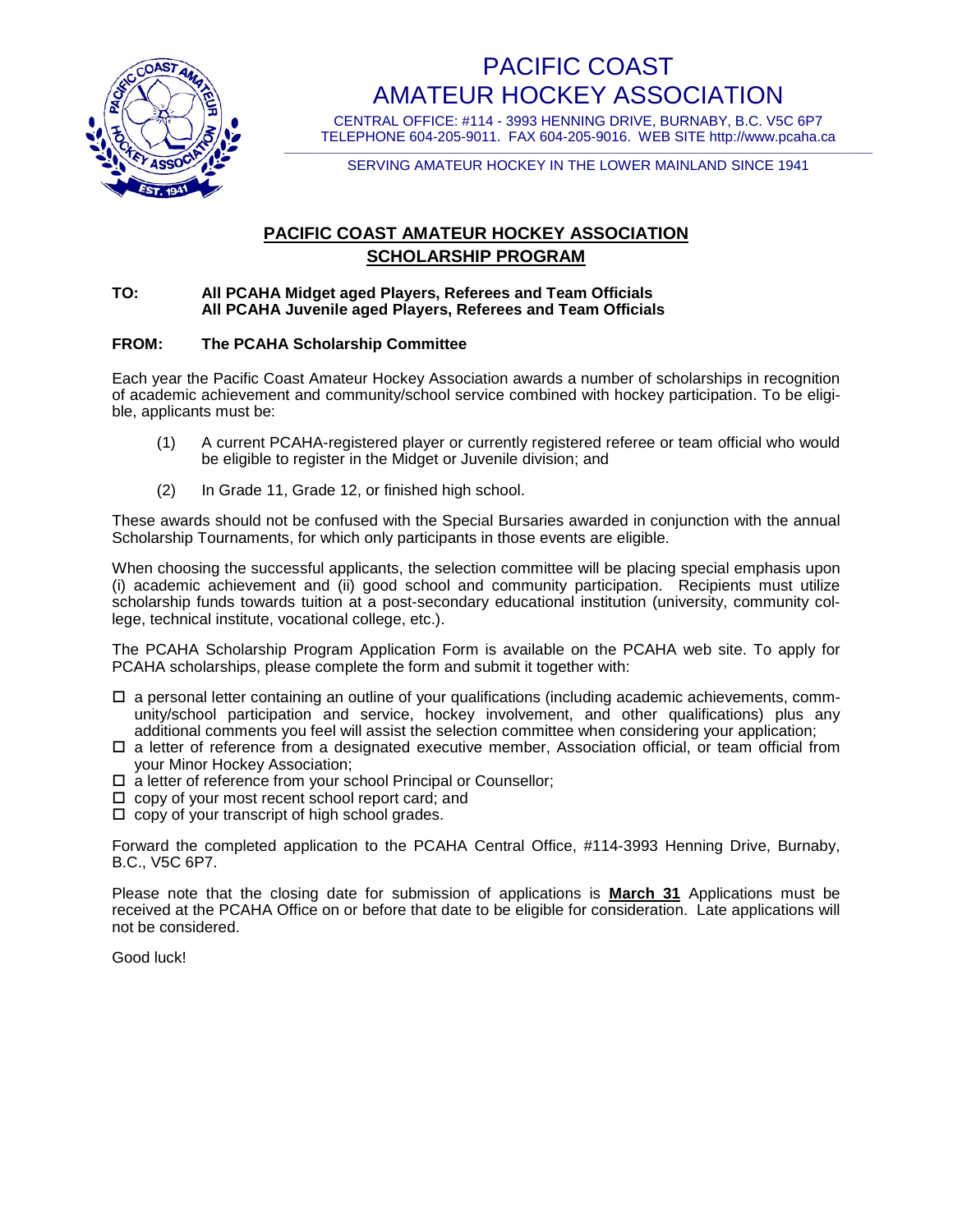

# PACIFIC COAST AMATEUR HOCKEY ASSOCIATION

CENTRAL OFFICE: #114 - 3993 HENNING DRIVE, BURNABY, B.C. V5C 6P7 TELEPHONE 604-205-9011. FAX 604-205-9016. WEB SITE http://www.pcaha.ca

\_\_\_\_\_\_\_\_\_\_\_\_\_\_\_\_\_\_\_\_\_\_\_\_\_\_\_\_\_\_\_\_\_\_\_\_\_\_\_\_\_\_\_\_\_\_\_\_\_\_\_\_\_\_\_\_\_\_\_\_\_\_\_\_\_\_\_\_\_\_\_\_\_\_\_\_\_\_\_\_\_\_\_\_\_\_\_\_\_\_\_\_\_\_\_\_\_\_\_\_\_\_\_\_\_\_\_\_\_\_\_\_\_\_\_\_\_\_\_\_\_\_\_\_\_\_\_\_\_\_\_\_\_\_\_\_ SERVING AMATEUR HOCKEY IN THE LOWER MAINLAND SINCE 1941

## **PACIFIC COAST AMATEUR HOCKEY ASSOCIATION SCHOLARSHIP PROGRAM**

#### **TO: All PCAHA Midget aged Players, Referees and Team Officials All PCAHA Juvenile aged Players, Referees and Team Officials**

### **FROM: The PCAHA Scholarship Committee**

Each year the Pacific Coast Amateur Hockey Association awards a number of scholarships in recognition of academic achievement and community/school service combined with hockey participation. To be eligible, applicants must be:

- (1) A current PCAHA-registered player or currently registered referee or team official who would be eligible to register in the Midget or Juvenile division; and
- (2) In Grade 11, Grade 12, or finished high school.

These awards should not be confused with the Special Bursaries awarded in conjunction with the annual Scholarship Tournaments, for which only participants in those events are eligible.

When choosing the successful applicants, the selection committee will be placing special emphasis upon (i) academic achievement and (ii) good school and community participation. Recipients must utilize scholarship funds towards tuition at a post-secondary educational institution (university, community college, technical institute, vocational college, etc.).

The PCAHA Scholarship Program Application Form is available on the PCAHA web site. To apply for PCAHA scholarships, please complete the form and submit it together with:

- $\Box$  a personal letter containing an outline of your qualifications (including academic achievements, community/school participation and service, hockey involvement, and other qualifications) plus any additional comments you feel will assist the selection committee when considering your application;
- $\Box$  a letter of reference from a designated executive member, Association official, or team official from your Minor Hockey Association;
- □ a letter of reference from your school Principal or Counsellor;
- $\Box$  copy of your most recent school report card; and
- $\Box$  copy of your transcript of high school grades.

Forward the completed application to the PCAHA Central Office, #114-3993 Henning Drive, Burnaby, B.C., V5C 6P7.

Please note that the closing date for submission of applications is **March 31** Applications must be received at the PCAHA Office on or before that date to be eligible for consideration. Late applications will not be considered.

Good luck!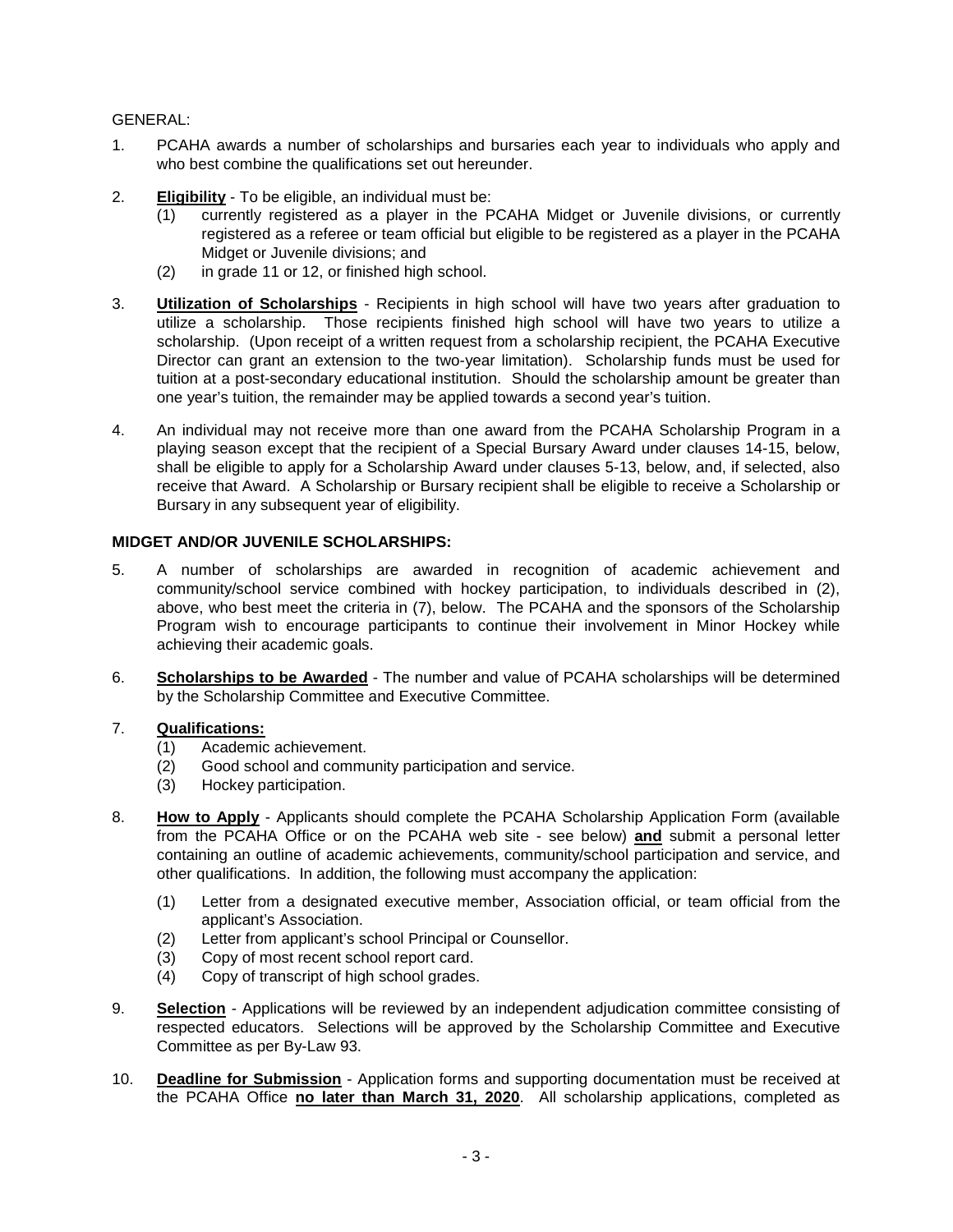### GENERAL:

- 1. PCAHA awards a number of scholarships and bursaries each year to individuals who apply and who best combine the qualifications set out hereunder.
- 2. **Eligibility** To be eligible, an individual must be:
	- (1) currently registered as a player in the PCAHA Midget or Juvenile divisions, or currently registered as a referee or team official but eligible to be registered as a player in the PCAHA Midget or Juvenile divisions; and
	- (2) in grade 11 or 12, or finished high school.
- 3. **Utilization of Scholarships** Recipients in high school will have two years after graduation to utilize a scholarship. Those recipients finished high school will have two years to utilize a scholarship. (Upon receipt of a written request from a scholarship recipient, the PCAHA Executive Director can grant an extension to the two-year limitation). Scholarship funds must be used for tuition at a post-secondary educational institution. Should the scholarship amount be greater than one year's tuition, the remainder may be applied towards a second year's tuition.
- 4. An individual may not receive more than one award from the PCAHA Scholarship Program in a playing season except that the recipient of a Special Bursary Award under clauses 14-15, below, shall be eligible to apply for a Scholarship Award under clauses 5-13, below, and, if selected, also receive that Award. A Scholarship or Bursary recipient shall be eligible to receive a Scholarship or Bursary in any subsequent year of eligibility.

### **MIDGET AND/OR JUVENILE SCHOLARSHIPS:**

- 5. A number of scholarships are awarded in recognition of academic achievement and community/school service combined with hockey participation, to individuals described in (2), above, who best meet the criteria in (7), below. The PCAHA and the sponsors of the Scholarship Program wish to encourage participants to continue their involvement in Minor Hockey while achieving their academic goals.
- 6. **Scholarships to be Awarded** The number and value of PCAHA scholarships will be determined by the Scholarship Committee and Executive Committee.

### 7. **Qualifications:**

- (1) Academic achievement.
- (2) Good school and community participation and service.
- (3) Hockey participation.
- 8. **How to Apply** Applicants should complete the PCAHA Scholarship Application Form (available from the PCAHA Office or on the PCAHA web site - see below) **and** submit a personal letter containing an outline of academic achievements, community/school participation and service, and other qualifications. In addition, the following must accompany the application:
	- (1) Letter from a designated executive member, Association official, or team official from the applicant's Association.
	- (2) Letter from applicant's school Principal or Counsellor.
	- (3) Copy of most recent school report card.
	- (4) Copy of transcript of high school grades.
- 9. **Selection** Applications will be reviewed by an independent adjudication committee consisting of respected educators. Selections will be approved by the Scholarship Committee and Executive Committee as per By-Law 93.
- 10. **Deadline for Submission** Application forms and supporting documentation must be received at the PCAHA Office **no later than March 31, 2020**. All scholarship applications, completed as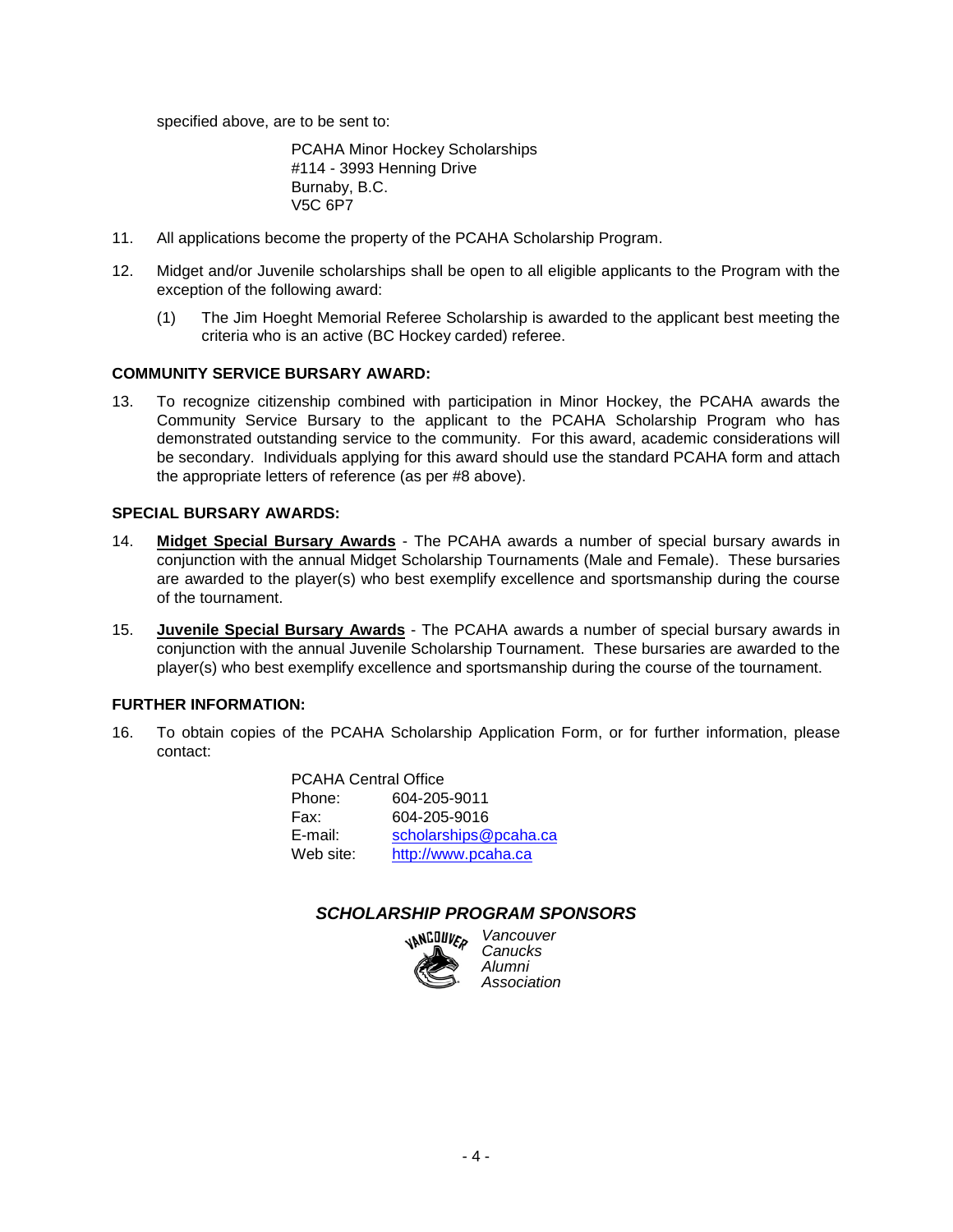specified above, are to be sent to:

PCAHA Minor Hockey Scholarships #114 - 3993 Henning Drive Burnaby, B.C. V5C 6P7

- 11. All applications become the property of the PCAHA Scholarship Program.
- 12. Midget and/or Juvenile scholarships shall be open to all eligible applicants to the Program with the exception of the following award:
	- (1) The Jim Hoeght Memorial Referee Scholarship is awarded to the applicant best meeting the criteria who is an active (BC Hockey carded) referee.

#### **COMMUNITY SERVICE BURSARY AWARD:**

13. To recognize citizenship combined with participation in Minor Hockey, the PCAHA awards the Community Service Bursary to the applicant to the PCAHA Scholarship Program who has demonstrated outstanding service to the community. For this award, academic considerations will be secondary. Individuals applying for this award should use the standard PCAHA form and attach the appropriate letters of reference (as per #8 above).

### **SPECIAL BURSARY AWARDS:**

- 14. **Midget Special Bursary Awards** The PCAHA awards a number of special bursary awards in conjunction with the annual Midget Scholarship Tournaments (Male and Female). These bursaries are awarded to the player(s) who best exemplify excellence and sportsmanship during the course of the tournament.
- 15. **Juvenile Special Bursary Awards** The PCAHA awards a number of special bursary awards in conjunction with the annual Juvenile Scholarship Tournament. These bursaries are awarded to the player(s) who best exemplify excellence and sportsmanship during the course of the tournament.

### **FURTHER INFORMATION:**

16. To obtain copies of the PCAHA Scholarship Application Form, or for further information, please contact:

> PCAHA Central Office Phone: 604-205-9011 Fax: 604-205-9016 E-mail: [scholarships@pcaha.ca](mailto:scholarships@pcaha.ca) Web site: [http://www.pcaha.ca](http://www.pcaha.ca/)

### *SCHOLARSHIP PROGRAM SPONSORS*



*Vancouver Canucks Alumni Association*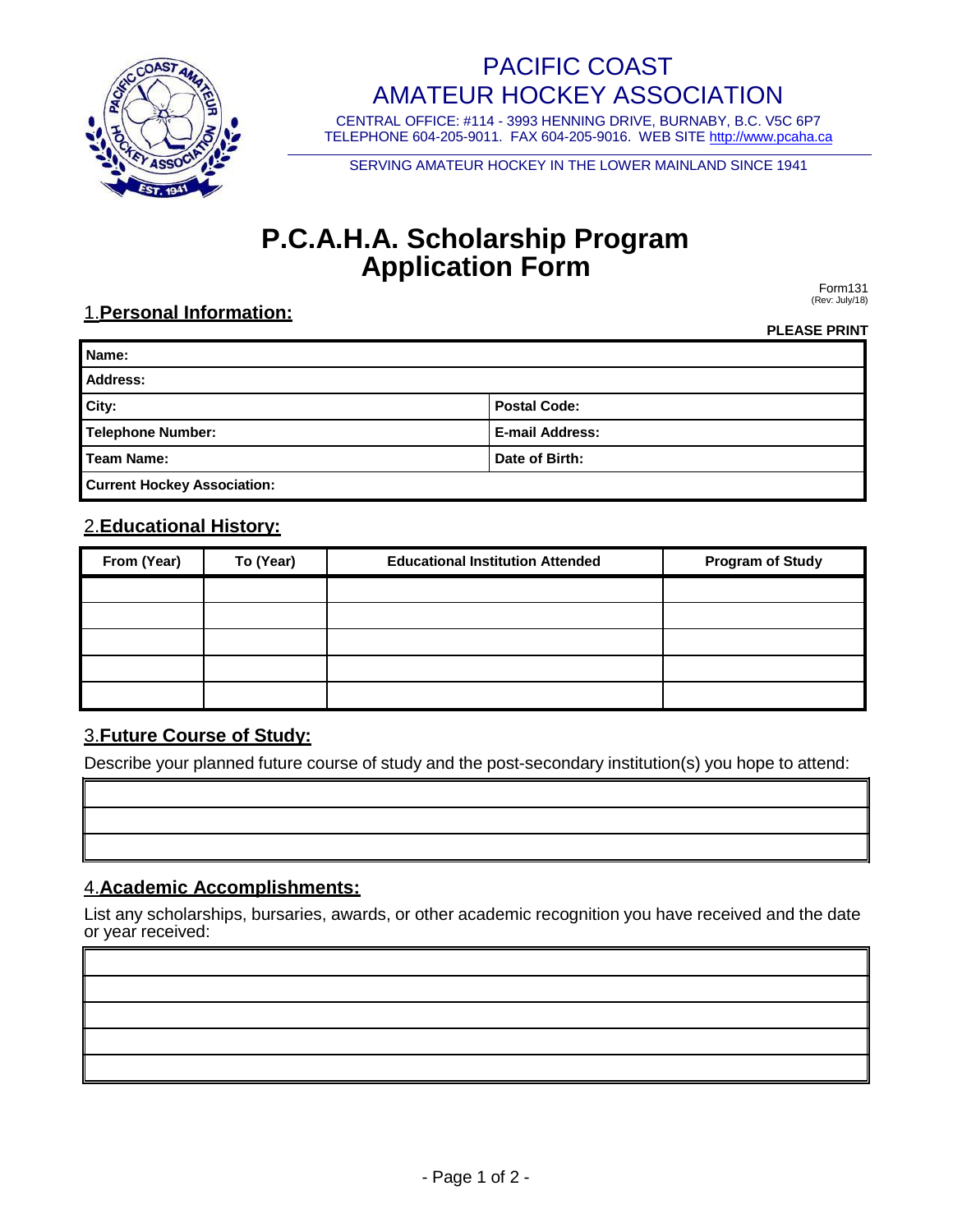

# PACIFIC COAST AMATEUR HOCKEY ASSOCIATION

CENTRAL OFFICE: #114 - 3993 HENNING DRIVE, BURNABY, B.C. V5C 6P7 TELEPHONE 604-205-9011. FAX 604-205-9016. WEB SITE [http://www.pcaha.ca](http://www.pcaha.ca/)

SERVING AMATEUR HOCKEY IN THE LOWER MAINLAND SINCE 1941

# **P.C.A.H.A. Scholarship Program Application Form**

Form131 (Rev: July/18)

# 1.**Personal Information:**

**PLEASE PRINT**

| Name:                              |                        |  |  |  |
|------------------------------------|------------------------|--|--|--|
| <b>Address:</b>                    |                        |  |  |  |
| City:                              | <b>Postal Code:</b>    |  |  |  |
| <b>Telephone Number:</b>           | <b>E-mail Address:</b> |  |  |  |
| <b>Team Name:</b>                  | Date of Birth:         |  |  |  |
| <b>Current Hockey Association:</b> |                        |  |  |  |

## 2.**Educational History:**

| From (Year) | To (Year) | <b>Educational Institution Attended</b> | <b>Program of Study</b> |
|-------------|-----------|-----------------------------------------|-------------------------|
|             |           |                                         |                         |
|             |           |                                         |                         |
|             |           |                                         |                         |
|             |           |                                         |                         |
|             |           |                                         |                         |

## 3.**Future Course of Study:**

Describe your planned future course of study and the post-secondary institution(s) you hope to attend:

## 4.**Academic Accomplishments:**

List any scholarships, bursaries, awards, or other academic recognition you have received and the date or year received: